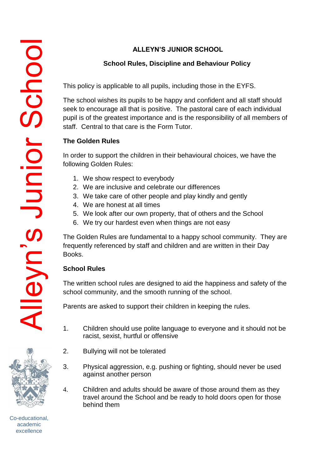# **School Rules, Discipline and Behaviour Policy**

This policy is applicable to all pupils, including those in the EYFS.

The school wishes its pupils to be happy and confident and all staff should seek to encourage all that is positive. The pastoral care of each individual pupil is of the greatest importance and is the responsibility of all members of staff. Central to that care is the Form Tutor.

# **The Golden Rules**

In order to support the children in their behavioural choices, we have the following Golden Rules:

- 1. We show respect to everybody
- 2. We are inclusive and celebrate our differences
- 3. We take care of other people and play kindly and gently
- 4. We are honest at all times
- 5. We look after our own property, that of others and the School
- 6. We try our hardest even when things are not easy

The Golden Rules are fundamental to a happy school community. They are frequently referenced by staff and children and are written in their Day Books.

# **School Rules**

The written school rules are designed to aid the happiness and safety of the school community, and the smooth running of the school.

Parents are asked to support their children in keeping the rules.

- 1. Children should use polite language to everyone and it should not be racist, sexist, hurtful or offensive
- 2. Bullying will not be tolerated
- 3. Physical aggression, e.g. pushing or fighting, should never be used against another person
- 4. Children and adults should be aware of those around them as they travel around the School and be ready to hold doors open for those behind them



lleyn's Junior Schoo

Co-educational, academic excellence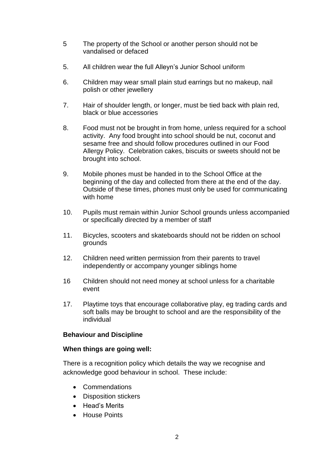- 5 The property of the School or another person should not be vandalised or defaced
- 5. All children wear the full Alleyn's Junior School uniform
- 6. Children may wear small plain stud earrings but no makeup, nail polish or other jewellery
- 7. Hair of shoulder length, or longer, must be tied back with plain red, black or blue accessories
- 8. Food must not be brought in from home, unless required for a school activity. Any food brought into school should be nut, coconut and sesame free and should follow procedures outlined in our Food Allergy Policy. Celebration cakes, biscuits or sweets should not be brought into school.
- 9. Mobile phones must be handed in to the School Office at the beginning of the day and collected from there at the end of the day. Outside of these times, phones must only be used for communicating with home
- 10. Pupils must remain within Junior School grounds unless accompanied or specifically directed by a member of staff
- 11. Bicycles, scooters and skateboards should not be ridden on school grounds
- 12. Children need written permission from their parents to travel independently or accompany younger siblings home
- 16 Children should not need money at school unless for a charitable event
- 17. Playtime toys that encourage collaborative play, eg trading cards and soft balls may be brought to school and are the responsibility of the individual

### **Behaviour and Discipline**

### **When things are going well:**

There is a recognition policy which details the way we recognise and acknowledge good behaviour in school. These include:

- Commendations
- Disposition stickers
- Head's Merits
- House Points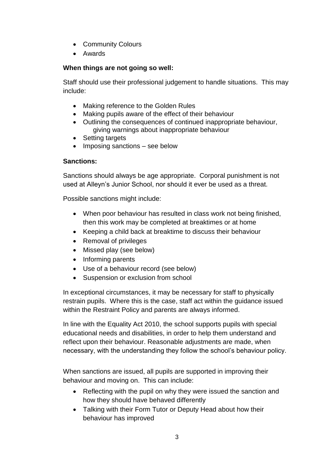- Community Colours
- Awards

# **When things are not going so well:**

Staff should use their professional judgement to handle situations. This may include:

- Making reference to the Golden Rules
- Making pupils aware of the effect of their behaviour
- Outlining the consequences of continued inappropriate behaviour, giving warnings about inappropriate behaviour
- Setting targets
- Imposing sanctions see below

## **Sanctions:**

Sanctions should always be age appropriate. Corporal punishment is not used at Alleyn's Junior School, nor should it ever be used as a threat.

Possible sanctions might include:

- When poor behaviour has resulted in class work not being finished, then this work may be completed at breaktimes or at home
- Keeping a child back at breaktime to discuss their behaviour
- Removal of privileges
- Missed play (see below)
- Informing parents
- Use of a behaviour record (see below)
- Suspension or exclusion from school

In exceptional circumstances, it may be necessary for staff to physically restrain pupils. Where this is the case, staff act within the guidance issued within the Restraint Policy and parents are always informed.

In line with the Equality Act 2010, the school supports pupils with special educational needs and disabilities, in order to help them understand and reflect upon their behaviour. Reasonable adjustments are made, when necessary, with the understanding they follow the school's behaviour policy.

When sanctions are issued, all pupils are supported in improving their behaviour and moving on. This can include:

- Reflecting with the pupil on why they were issued the sanction and how they should have behaved differently
- Talking with their Form Tutor or Deputy Head about how their behaviour has improved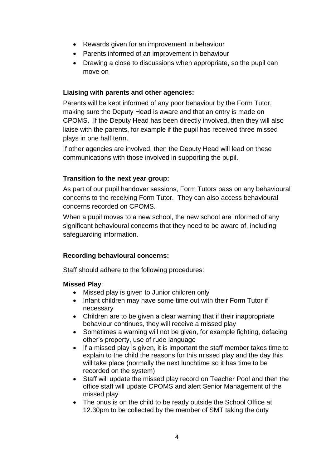- Rewards given for an improvement in behaviour
- Parents informed of an improvement in behaviour
- Drawing a close to discussions when appropriate, so the pupil can move on

## **Liaising with parents and other agencies:**

Parents will be kept informed of any poor behaviour by the Form Tutor, making sure the Deputy Head is aware and that an entry is made on CPOMS. If the Deputy Head has been directly involved, then they will also liaise with the parents, for example if the pupil has received three missed plays in one half term.

If other agencies are involved, then the Deputy Head will lead on these communications with those involved in supporting the pupil.

# **Transition to the next year group:**

As part of our pupil handover sessions, Form Tutors pass on any behavioural concerns to the receiving Form Tutor. They can also access behavioural concerns recorded on CPOMS.

When a pupil moves to a new school, the new school are informed of any significant behavioural concerns that they need to be aware of, including safeguarding information.

# **Recording behavioural concerns:**

Staff should adhere to the following procedures:

## **Missed Play**:

- Missed play is given to Junior children only
- Infant children may have some time out with their Form Tutor if necessary
- Children are to be given a clear warning that if their inappropriate behaviour continues, they will receive a missed play
- Sometimes a warning will not be given, for example fighting, defacing other's property, use of rude language
- If a missed play is given, it is important the staff member takes time to explain to the child the reasons for this missed play and the day this will take place (normally the next lunchtime so it has time to be recorded on the system)
- Staff will update the missed play record on Teacher Pool and then the office staff will update CPOMS and alert Senior Management of the missed play
- The onus is on the child to be ready outside the School Office at 12.30pm to be collected by the member of SMT taking the duty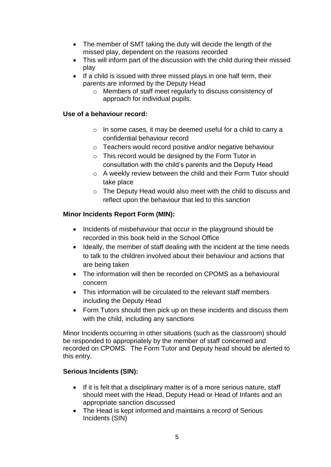- The member of SMT taking the duty will decide the length of the missed play, dependent on the reasons recorded
- This will inform part of the discussion with the child during their missed play
- If a child is issued with three missed plays in one half term, their parents are informed by the Deputy Head
	- o Members of staff meet regularly to discuss consistency of approach for individual pupils.

## **Use of a behaviour record:**

- o In some cases, it may be deemed useful for a child to carry a confidential behaviour record
- o Teachers would record positive and/or negative behaviour
- o This record would be designed by the Form Tutor in consultation with the child's parents and the Deputy Head
- o A weekly review between the child and their Form Tutor should take place
- o The Deputy Head would also meet with the child to discuss and reflect upon the behaviour that led to this sanction

### **Minor Incidents Report Form (MIN):**

- Incidents of misbehaviour that occur in the playground should be recorded in this book held in the School Office
- Ideally, the member of staff dealing with the incident at the time needs to talk to the children involved about their behaviour and actions that are being taken
- The information will then be recorded on CPOMS as a behavioural concern
- This information will be circulated to the relevant staff members including the Deputy Head
- Form Tutors should then pick up on these incidents and discuss them with the child, including any sanctions

Minor Incidents occurring in other situations (such as the classroom) should be responded to appropriately by the member of staff concerned and recorded on CPOMS. The Form Tutor and Deputy head should be alerted to this entry.

## **Serious Incidents (SIN):**

- If it is felt that a disciplinary matter is of a more serious nature, staff should meet with the Head, Deputy Head or Head of Infants and an appropriate sanction discussed
- The Head is kept informed and maintains a record of Serious Incidents (SIN)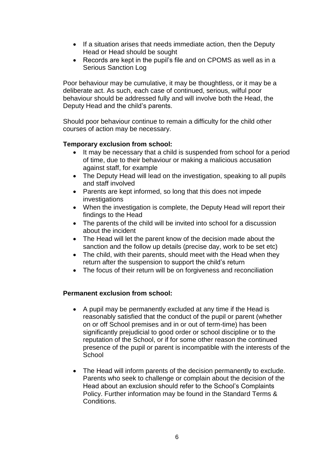- If a situation arises that needs immediate action, then the Deputy Head or Head should be sought
- Records are kept in the pupil's file and on CPOMS as well as in a Serious Sanction Log

Poor behaviour may be cumulative, it may be thoughtless, or it may be a deliberate act. As such, each case of continued, serious, wilful poor behaviour should be addressed fully and will involve both the Head, the Deputy Head and the child's parents.

Should poor behaviour continue to remain a difficulty for the child other courses of action may be necessary.

### **Temporary exclusion from school:**

- It may be necessary that a child is suspended from school for a period of time, due to their behaviour or making a malicious accusation against staff, for example
- The Deputy Head will lead on the investigation, speaking to all pupils and staff involved
- Parents are kept informed, so long that this does not impede investigations
- When the investigation is complete, the Deputy Head will report their findings to the Head
- The parents of the child will be invited into school for a discussion about the incident
- The Head will let the parent know of the decision made about the sanction and the follow up details (precise day, work to be set etc)
- The child, with their parents, should meet with the Head when they return after the suspension to support the child's return
- The focus of their return will be on forgiveness and reconciliation

### **Permanent exclusion from school:**

- A pupil may be permanently excluded at any time if the Head is reasonably satisfied that the conduct of the pupil or parent (whether on or off School premises and in or out of term-time) has been significantly prejudicial to good order or school discipline or to the reputation of the School, or if for some other reason the continued presence of the pupil or parent is incompatible with the interests of the **School**
- The Head will inform parents of the decision permanently to exclude. Parents who seek to challenge or complain about the decision of the Head about an exclusion should refer to the School's Complaints Policy. Further information may be found in the Standard Terms & Conditions.